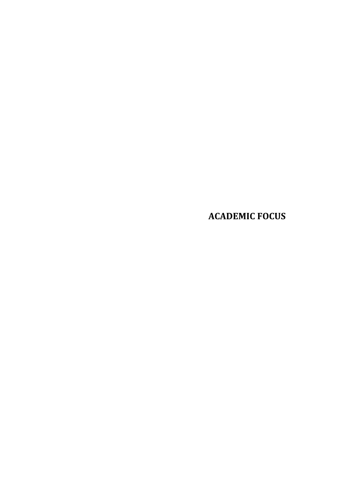**ACADEMIC FOCUS**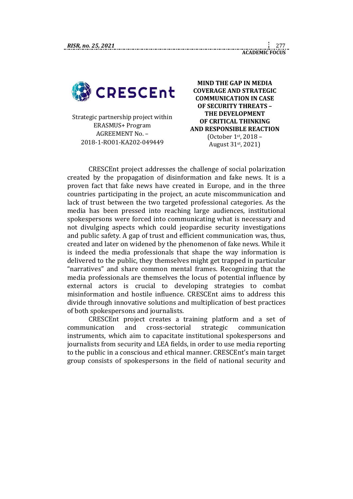

Strategic partnership project within ERASMUS+ Program AGREEMENT No. – 2018-1-RO01-KA202-049449

**MIND THE GAP IN MEDIA COVERAGE AND STRATEGIC COMMUNICATION IN CASE OF SECURITY THREATS – THE DEVELOPMENT OF CRITICAL THINKING AND RESPONSIBLE REACTION** (October 1st, 2018 – August 31st, 2021)

CRESCEnt project addresses the challenge of social polarization created by the propagation of disinformation and fake news. It is a proven fact that fake news have created in Europe, and in the three countries participating in the project, an acute miscommunication and lack of trust between the two targeted professional categories. As the media has been pressed into reaching large audiences, institutional spokespersons were forced into communicating what is necessary and not divulging aspects which could jeopardise security investigations and public safety. A gap of trust and efficient communication was, thus, created and later on widened by the phenomenon of fake news. While it is indeed the media professionals that shape the way information is delivered to the public, they themselves might get trapped in particular "narratives" and share common mental frames. Recognizing that the media professionals are themselves the locus of potential influence by external actors is crucial to developing strategies to combat misinformation and hostile influence. CRESCEnt aims to address this divide through innovative solutions and multiplication of best practices of both spokespersons and journalists.

CRESCEnt project creates a training platform and a set of communication and cross-sectorial strategic communication instruments, which aim to capacitate institutional spokespersons and journalists from security and LEA fields, in order to use media reporting to the public in a conscious and ethical manner. CRESCEnt's main target group consists of spokespersons in the field of national security and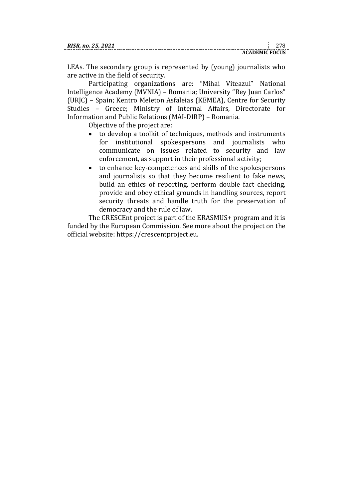| RISR. no. 25, 2021 |  |  |
|--------------------|--|--|
|                    |  |  |

**ACADEMIC FOCUS**

LEAs. The secondary group is represented by (young) journalists who are active in the field of security.

Participating organizations are: "Mihai Viteazul" National Intelligence Academy (MVNIA) – Romania; University "Rey Juan Carlos" (URJC) – Spain; Kentro Meleton Asfaleias (KEMEA), Centre for Security Studies – Greece; Ministry of Internal Affairs, Directorate for Information and Public Relations (MAI-DIRP) – Romania.

Objective of the project are:

- to develop a toolkit of techniques, methods and instruments for institutional spokespersons and journalists who communicate on issues related to security and law enforcement, as support in their professional activity;
- to enhance key-competences and skills of the spokespersons and journalists so that they become resilient to fake news, build an ethics of reporting, perform double fact checking, provide and obey ethical grounds in handling sources, report security threats and handle truth for the preservation of democracy and the rule of law.

The CRESCEnt project is part of the ERASMUS+ program and it is funded by the European Commission. See more about the project on the official website: https://crescentproject.eu.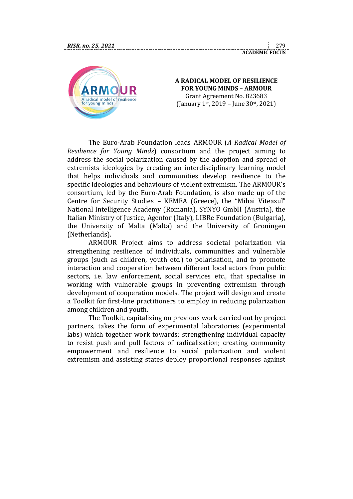

#### **A RADICAL MODEL OF RESILIENCE FOR YOUNG MINDS – ARMOUR** Grant Agreement No. 823683 (January 1st, 2019 – June 30st, 2021)

The Euro-Arab Foundation leads [ARMOUR](https://www.fundea.org/en/news/armour-radical-model-resilience-young-minds) (*A Radical Model of Resilience for Young Minds*) consortium and the project aiming to address the social polarization caused by the adoption and spread of extremists ideologies by creating an interdisciplinary learning model that helps individuals and communities develop resilience to the specific ideologies and behaviours of violent extremism. The ARMOUR's consortium, led by the Euro-Arab Foundation, is also made up of the Centre for Security Studies – KEMEA (Greece), the "Mihai Viteazul" National Intelligence Academy (Romania), SYNYO GmbH (Austria), the Italian Ministry of Justice, Agenfor (Italy), LIBRe Foundation (Bulgaria), the University of Malta (Malta) and the University of Groningen (Netherlands).

ARMOUR Project aims to address societal polarization via strengthening resilience of individuals, communities and vulnerable groups (such as children, youth etc.) to polarisation, and to promote interaction and cooperation between different local actors from public sectors, i.e. law enforcement, social services etc., that specialise in working with vulnerable groups in preventing extremism through development of cooperation models. The project will design and create a Toolkit for first-line practitioners to employ in reducing polarization among children and youth.

The Toolkit, capitalizing on previous work carried out by project partners, takes the form of experimental laboratories (experimental labs) which together work towards: strengthening individual capacity to resist push and pull factors of radicalization; creating community empowerment and resilience to social polarization and violent extremism and assisting states deploy proportional responses against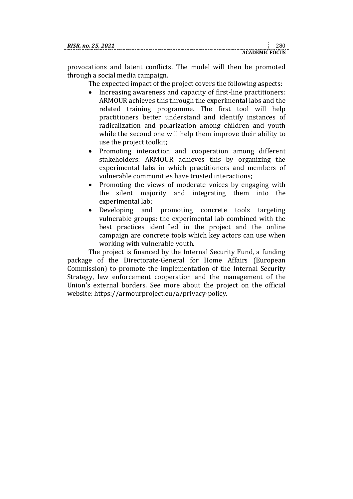| RISR. no. 25, 2021 |  |  |
|--------------------|--|--|
|                    |  |  |

provocations and latent conflicts. The model will then be promoted through a social media campaign.

The expected impact of the project covers the following aspects:

- Increasing awareness and capacity of first-line practitioners: ARMOUR achieves this through the experimental labs and the related training programme. The first tool will help practitioners better understand and identify instances of radicalization and polarization among children and youth while the second one will help them improve their ability to use the project toolkit;
- Promoting interaction and cooperation among different stakeholders: ARMOUR achieves this by organizing the experimental labs in which practitioners and members of vulnerable communities have trusted interactions;
- Promoting the views of moderate voices by engaging with the silent majority and integrating them into the experimental lab;
- Developing and promoting concrete tools targeting vulnerable groups: the experimental lab combined with the best practices identified in the project and the online campaign are concrete tools which key actors can use when working with vulnerable youth.

The project is financed by the Internal Security Fund, a funding package of the Directorate-General for Home Affairs (European Commission) to promote the implementation of the Internal Security Strategy, law enforcement cooperation and the management of the Union's external borders. See more about the project on the official website: https://armourproject.eu/a/privacy-policy.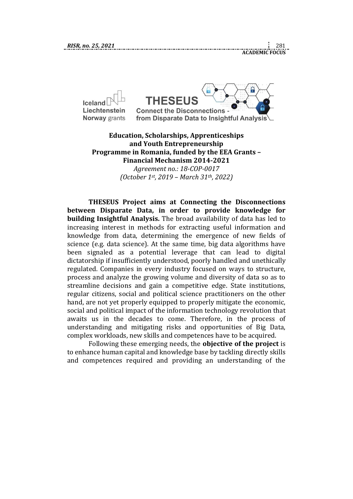

## **Education, Scholarships, Apprenticeships and Youth Entrepreneurship Programme in Romania, funded by the EEA Grants – Financial Mechanism 2014-2021**

*Agreement no.: 18-COP-0017 (October 1st, 2019 – March 31th, 2022)*

**THESEUS Project aims at Connecting the Disconnections between Disparate Data, in order to provide knowledge for building Insightful Analysis.** The broad availability of data has led to increasing interest in methods for extracting useful information and knowledge from data, determining the emergence of new fields of science (e.g. data science). At the same time, big data algorithms have been signaled as a potential leverage that can lead to digital dictatorship if insufficiently understood, poorly handled and unethically regulated. Companies in every industry focused on ways to structure, process and analyze the growing volume and diversity of data so as to streamline decisions and gain a competitive edge. State institutions, regular citizens, social and political science practitioners on the other hand, are not yet properly equipped to properly mitigate the economic, social and political impact of the information technology revolution that awaits us in the decades to come. Therefore, in the process of understanding and mitigating risks and opportunities of Big Data, complex workloads, new skills and competences have to be acquired.

Following these emerging needs, the **objective of the project** is to enhance human capital and knowledge base by tackling directly skills and competences required and providing an understanding of the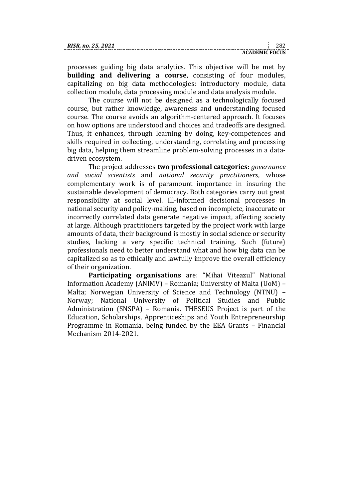| RISR. no. 25. 2021 |                       |  |
|--------------------|-----------------------|--|
|                    | <b>ACADEMIC FOCUS</b> |  |

processes guiding big data analytics. This objective will be met by **building and delivering a course**, consisting of four modules, capitalizing on big data methodologies: introductory module, data collection module, data processing module and data analysis module.

The course will not be designed as a technologically focused course, but rather knowledge, awareness and understanding focused course. The course avoids an algorithm-centered approach. It focuses on how options are understood and choices and tradeoffs are designed. Thus, it enhances, through learning by doing, key-competences and skills required in collecting, understanding, correlating and processing big data, helping them streamline problem-solving processes in a datadriven ecosystem.

The project addresses **two professional categories:** *governance and social scientists* and *national security practitioners*, whose complementary work is of paramount importance in insuring the sustainable development of democracy. Both categories carry out great responsibility at social level. Ill-informed decisional processes in national security and policy-making, based on incomplete, inaccurate or incorrectly correlated data generate negative impact, affecting society at large. Although practitioners targeted by the project work with large amounts of data, their background is mostly in social science or security studies, lacking a very specific technical training. Such (future) professionals need to better understand what and how big data can be capitalized so as to ethically and lawfully improve the overall efficiency of their organization.

**Participating organisations** are: "Mihai Viteazul" National Information Academy (ANIMV) – Romania; University of Malta (UoM) – Malta; Norwegian University of Science and Technology (NTNU) – Norway; National University of Political Studies and Public Administration (SNSPA) – Romania. THESEUS Project is part of the Education, Scholarships, Apprenticeships and Youth Entrepreneurship Programme in Romania, being funded by the EEA Grants – Financial Mechanism 2014-2021.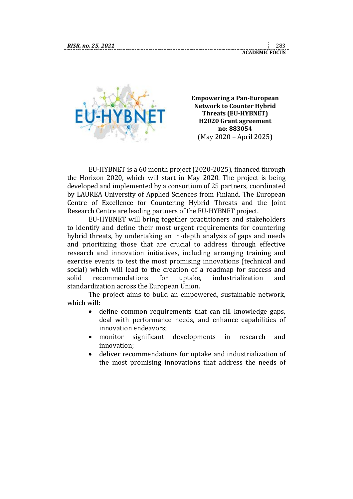**ACADEMIC FOCUS**



**Empowering a Pan-European Network to Counter Hybrid Threats (EU-HYBNET) H2020 Grant agreement no: 883054** (May 2020 – April 2025)

EU-HYBNET is a 60 month project (2020-2025), financed through the Horizon 2020, which will start in May 2020. The project is being developed and implemented by a consortium of 25 partners, coordinated by LAUREA University of Applied Sciences from Finland. The European Centre of Excellence for Countering Hybrid Threats and the Joint Research Centre are leading partners of the EU-HYBNET project.

EU-HYBNET will bring together practitioners and stakeholders to identify and define their most urgent requirements for countering hybrid threats, by undertaking an in-depth analysis of gaps and needs and prioritizing those that are crucial to address through effective research and innovation initiatives, including arranging training and exercise events to test the most promising innovations (technical and social) which will lead to the creation of a roadmap for success and solid recommendations for uptake, industrialization and standardization across the European Union.

The project aims to build an empowered, sustainable network, which will:

- define common requirements that can fill knowledge gaps, deal with performance needs, and enhance capabilities of innovation endeavors;
- monitor significant developments in research and innovation;
- deliver recommendations for uptake and industrialization of the most promising innovations that address the needs of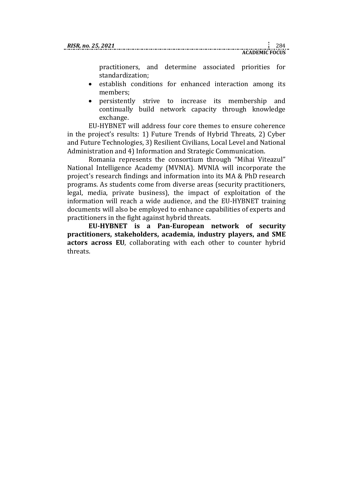practitioners, and determine associated priorities for standardization;

- establish conditions for enhanced interaction among its members;
- persistently strive to increase its membership and continually build network capacity through knowledge exchange.

EU-HYBNET will address four core themes to ensure coherence in the project's results: 1) Future Trends of Hybrid Threats, 2) Cyber and Future Technologies, 3) Resilient Civilians, Local Level and National Administration and 4) Information and Strategic Communication.

Romania represents the consortium through "Mihai Viteazul" National Intelligence Academy (MVNIA). MVNIA will incorporate the project's research findings and information into its MA & PhD research programs. As students come from diverse areas (security practitioners, legal, media, private business), the impact of exploitation of the information will reach a wide audience, and the EU-HYBNET training documents will also be employed to enhance capabilities of experts and practitioners in the fight against hybrid threats.

**EU-HYBNET is a Pan-European network of security practitioners, stakeholders, academia, industry players, and SME actors across EU**, collaborating with each other to counter hybrid threats.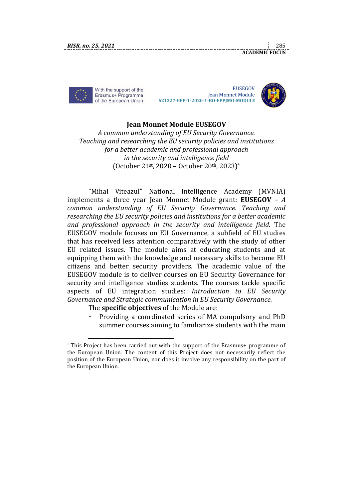With the support of the Erasmus+ Programme of the European Union

1

**EUSEGOV**  Jean Monnet Module  **621227-EPP-1-2020-1-RO-EPPJMO-MODULE**



**ACADEMIC FOCUS**

# **Jean Monnet Module EUSEGOV**

*A common understanding of EU Security Governance. Teaching and researching the EU security policies and institutions for a better academic and professional approach in the security and intelligence field*  (October 21st, 2020 – October 20th, 2023)\*

"Mihai Viteazul" National Intelligence Academy (MVNIA) implements a three year Jean Monnet Module grant: **EUSEGOV** – *A common understanding of EU Security Governance. Teaching and researching the EU security policies and institutions for a better academic and professional approach in the security and intelligence field*. The EUSEGOV module focuses on EU Governance, a subfield of EU studies that has received less attention comparatively with the study of other EU related issues. The module aims at educating students and at equipping them with the knowledge and necessary skills to become EU citizens and better security providers. The academic value of the EUSEGOV module is to deliver courses on EU Security Governance for security and intelligence studies students. The courses tackle specific aspects of EU integration studies: *Introduction to EU Security Governance and Strategic communication in EU Security Governance.*

The **specific objectives** of the Module are:

- Providing a coordinated series of MA compulsory and PhD summer courses aiming to familiarize students with the main

<sup>\*</sup> This Project has been carried out with the support of the Erasmus+ programme of the European Union. The content of this Project does not necessarily reflect the position of the European Union, nor does it involve any responsibility on the part of the European Union.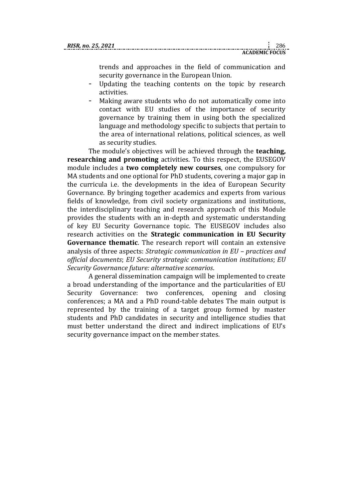trends and approaches in the field of communication and security governance in the European Union.

- Updating the teaching contents on the topic by research activities.
- Making aware students who do not automatically come into contact with EU studies of the importance of security governance by training them in using both the specialized language and methodology specific to subjects that pertain to the area of international relations, political sciences, as well as security studies.

The module's objectives will be achieved through the **teaching, researching and promoting** activities. To this respect, the EUSEGOV module includes a **two completely new courses**, one compulsory for MA students and one optional for PhD students, covering a major gap in the curricula i.e. the developments in the idea of European Security Governance. By bringing together academics and experts from various fields of knowledge, from civil society organizations and institutions, the interdisciplinary teaching and research approach of this Module provides the students with an in-depth and systematic understanding of key EU Security Governance topic. The EUSEGOV includes also research activities on the **Strategic communication in EU Security Governance thematic**. The research report will contain an extensive analysis of three aspects: *Strategic communication in EU – practices and official documents*; *EU Security strategic communication institutions*; *EU Security Governance future: alternative scenarios*.

A general dissemination campaign will be implemented to create a broad understanding of the importance and the particularities of EU Security Governance: two conferences, opening and closing conferences; a MA and a PhD round-table debates The main output is represented by the training of a target group formed by master students and PhD candidates in security and intelligence studies that must better understand the direct and indirect implications of EU's security governance impact on the member states.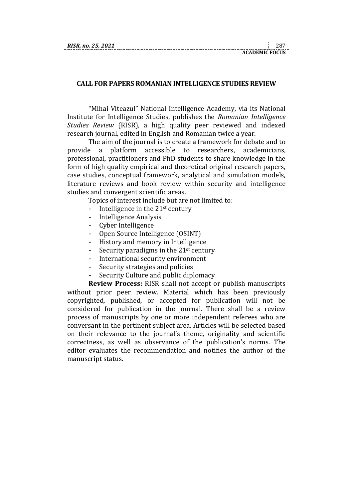| RISR. no. 25, 2021 |  |  |
|--------------------|--|--|
|                    |  |  |

### **CALL FOR PAPERS ROMANIAN INTELLIGENCE STUDIES REVIEW**

"Mihai Viteazul" National Intelligence Academy, via its National Institute for Intelligence Studies, publishes the *Romanian Intelligence Studies Review* (RISR), a high quality peer reviewed and indexed research journal, edited in English and Romanian twice a year.

The aim of the journal is to create a framework for debate and to provide a platform accessible to researchers, academicians, professional, practitioners and PhD students to share knowledge in the form of high quality empirical and theoretical original research papers, case studies, conceptual framework, analytical and simulation models, literature reviews and book review within security and intelligence studies and convergent scientific areas.

Topics of interest include but are not limited to:

- Intelligence in the  $21<sup>st</sup>$  century
- Intelligence Analysis
- Cyber Intelligence
- Open Source Intelligence (OSINT)
- History and memory in Intelligence
- Security paradigms in the  $21<sup>st</sup>$  century
- International security environment
- Security strategies and policies
- Security Culture and public diplomacy

**Review Process:** RISR shall not accept or publish manuscripts without prior peer review. Material which has been previously copyrighted, published, or accepted for publication will not be considered for publication in the journal. There shall be a review process of manuscripts by one or more independent referees who are conversant in the pertinent subject area. Articles will be selected based on their relevance to the journal's theme, originality and scientific correctness, as well as observance of the publication's norms. The editor evaluates the recommendation and notifies the author of the manuscript status.